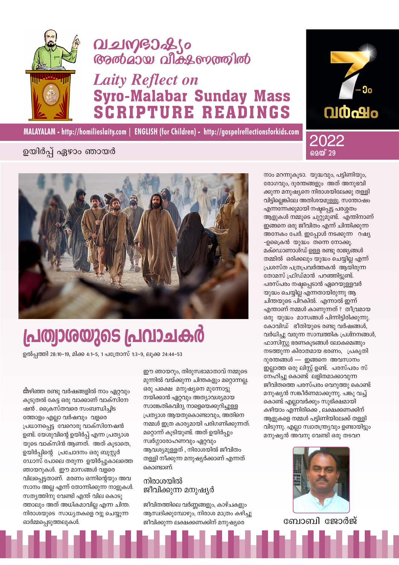

## **Q121MGJ266 Gradias allas moraldo**

## **Laity Reflect on Syro-Malabar Sunday Mass CRIPTURE READINGS**



MALAYALAM - http://homilieslaity.com | ENGLISH (for Children) - http://gospelreflectionsforkids.com

### ഉയിർപ്പ് ഏഴാം ഞായർ



# പ്രത്വാശയുടെ പ്രവാചകർ

ഉൽപ്പത്തി 28:10–19, മിക്ക 4:1–5, 1 പത്രോസ് 1:3–9, ലൂക്ക 24:44–53

ക്കഴിഞ്ഞ രണ്ടു വർഷങ്ങളിൽ നാം ഏറ്റവും കൂടുതൽ കേട്ട ഒരു വാക്കാണ് വാക്സിനേ ഷൻ . ക്രൈസ്തവരെ സംബന്ധിചിട ത്തോളം എല്ലാ വർഷവും വളരെ പ്രധാനപ്പെട്ട വേറൊരു വാക്സിനേഷൻ ഉണ്ട്. യേശുവിന്റെ ഉയിർപ്പ് എന്ന പ്രത്യാശ യുടെ വാക്സിൻ ആണത്. അത് കുടാതെ, ഉയിർപ്പിന്റെ പ്രചോദനം ഒരു ബൂസ്റ്റർ ഡോസ് പോലെ തരുന്ന ഉയിർപ്പുകാലത്തെ ഞായറുകൾ. ഈ മാസങ്ങൾ വളരെ വിലപ്പെട്ടതാണ്. മരണം ഒന്നിന്റെയും അവ സാനം അല്ല എന്ന് തോന്നിക്കുന്ന നാളുകൾ. സത്യത്തിനു വേണ്ടി എന്ത് വില കൊടു ത്താലും അത് അധികമാവില്ല എന്ന ചിന്ത. നിരാശയുടെ സാധ്യതകളെ റദ്ദു ചെയ്യുന്ന ഓർമ്മപ്പെടുത്തലുകൾ.

ഈ ഞായറും, തിരുസഭാമാതാവ് നമ്മുടെ മുന്നിൽ വയ്ക്കുന്ന ചിന്തകളും മറ്റൊന്നല്ല. ഒരു പക്ഷെ മനുഷ്യനെ മുന്നോട്ടു നയിക്കാൻ ഏറ്റവും അത്യാവശ്യമായ സാങ്കേതികവിദ്യ നാളെയെക്കുറിച്ചുള്ള പ്രത്യാശ ആയതുകൊണ്ടാവും, അതിനെ നമ്മൾ ഇത്ര കാര്യമായി പരിഗണിക്കുന്നത്. മറ്റൊന്ന് കൂടിയുണ്ട്. അത് ഉയിർപ്പും സ്വർഗ്ഗാരോഹണവും ഏറ്റവും ആവശ്യമുള്ളത് , നിരാശയിൽ ജീവിതം തള്ളി നീക്കുന്ന മനുഷ്യർക്കാണ് എന്നത് കൊണ്ടാണ്.

#### നിരാശയിൽ ജീവിക്കുന്ന മനുഷ്യർ

ജീവിതത്തിലെ വർണ്ണങ്ങളും, കാഴ്ചകളും ആസ്വദിക്കുമ്പോഴും, നിരാശ മാത്രം കഴിച്ചു ജീവിക്കുന്ന ലക്ഷക്കണക്കിന് മനുഷ്യരെ

നാം മറന്നുകൂടാ. യുദ്ധവും, പട്ടിണിയും, രോഗവും, ദുരന്തങ്ങളും അത് അനുഭവി ക്കുന്ന മനുഷ്യനെ നിരാശയിലേക്കു തള്ളി വിട്ടില്ലെങ്കിലേ അതിശയമുള്ളൂ. സന്തോഷം എന്നന്നേക്കുമായി നഷ്ടപ്പെട്ട പരശ്ശതം ആളുകൾ നമ്മുടെ ചുറ്റുമുണ്ട്. എന്തിനാണ് ഇങ്ങനെ ഒരു ജീവിതം എന്ന് ചിന്തിക്കുന്ന അനേകം പേർ. ഇപ്പോൾ നടക്കുന്ന റഷ്യ -ഉക്രൈൻ യുദ്ധം തന്നെ നോക്കൂ. മക്ഡൊണാൾഡ് ഉള്ള രണ്ടു രാജ്യങ്ങൾ തമ്മിൽ ഒരിക്കലും യുദ്ധം ചെയ്യില്ല എന്ന് പ്രശസ്ത പത്രപ്രവർത്തകൻ ആയിരുന്ന തോമസ് ഫ്രിഡ്മാൻ പറഞ്ഞിട്ടുണ്ട്. പരസ്പരം നഷ്ടപ്പെടാൻ ഏറെയുള്ളവർ യുദ്ധം ചെയ്യില്ല എന്നതായിരുന്നു ആ ചിന്തയുടെ പിറകിൽ. എന്നാൽ ഇന്ന് എന്താണ് നമ്മൾ കാണുന്നത് ? തീവ്രമായ ഒരു യുദ്ധം മാസങ്ങൾ പിന്നിട്ടിരിക്കുന്നു. കോവിഡ് ഭീതിയുടെ രണ്ടു വർഷങ്ങൾ, വർധിച്ചു വരുന്ന സാമ്പത്തിക പ്രശ്നനങ്ങൾ, ഫാസിസ്റ്റു ഭരണകൂടങ്ങൾ ലോകമെങ്ങും നടത്തുന്ന കിരാതമായ ഭരണം, പ്രകൃതി ദുരന്തങ്ങൾ — ഇങ്ങനെ അവസാനം ഇല്ലാത്ത ഒരു ലിസ്റ്റ് ഉണ്ട്. പരസ്പരം സ് നേഹിച്ചു കൊണ്ട് ലളിതമാക്കാവുന്ന ജീവിതത്തെ പരസ്പരം വെറുത്തു കൊണ്ട് മനുഷ്യൻ സങ്കീർണമാക്കുന്നു. പങ്കു വച്ച് കൊണ്ട് എല്ലാവർക്കും സുഭിക്ഷമായി കഴിയാം എന്നിരിക്കെ, ലക്ഷക്കണക്കിന് ആളുകളെ നമ്മൾ പട്ടിണിയിലേക്ക് തള്ളി വിടുന്നു. എല്ലാ സ്വാതന്ത്ര്യവും ഉണ്ടായിട്ടും മനുഷ്യൻ അവനു വേണ്ടി ഒരു തടവറ



ബോബി ജോർജ്